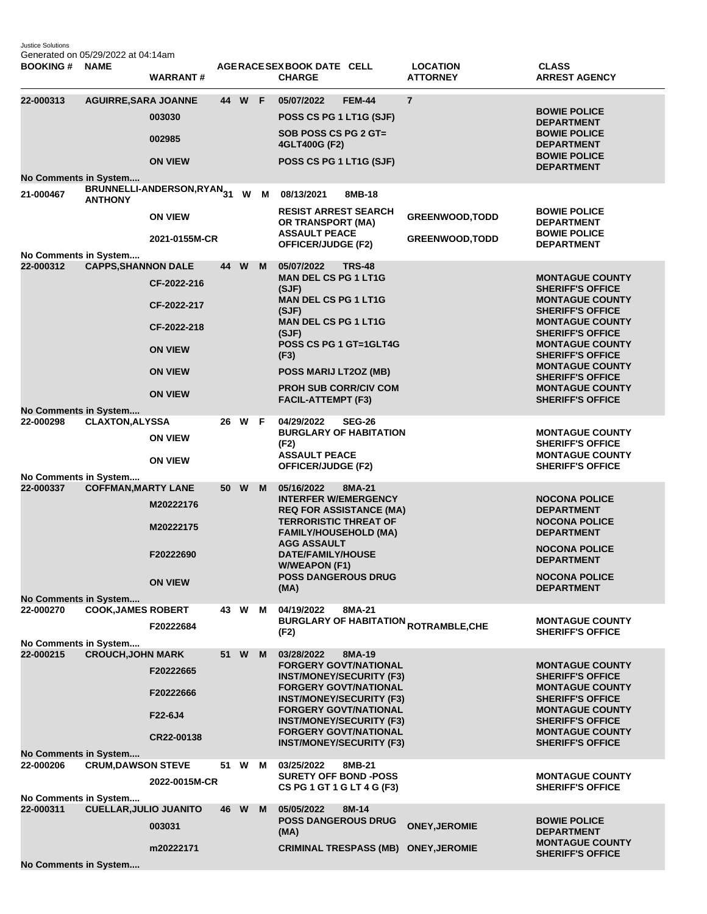Justice Solutions Generated on 05/29/2022 at 04:14am

| <b>BOOKING#</b>                           | <b>NAME</b>                   | <b>WARRANT#</b>                                                                                 |      |        |     | AGERACE SEX BOOK DATE CELL<br><b>CHARGE</b>                                                                                                                                                                                                                                            |               | <b>LOCATION</b><br><b>ATTORNEY</b>                     | <b>CLASS</b><br><b>ARREST AGENCY</b>                                                                                                                                                                                                                                                                                       |
|-------------------------------------------|-------------------------------|-------------------------------------------------------------------------------------------------|------|--------|-----|----------------------------------------------------------------------------------------------------------------------------------------------------------------------------------------------------------------------------------------------------------------------------------------|---------------|--------------------------------------------------------|----------------------------------------------------------------------------------------------------------------------------------------------------------------------------------------------------------------------------------------------------------------------------------------------------------------------------|
| 22-000313<br>No Comments in System        | <b>AGUIRRE, SARA JOANNE</b>   | 003030<br>002985<br><b>ON VIEW</b>                                                              |      | 44 W F |     | 05/07/2022<br>POSS CS PG 1 LT1G (SJF)<br>SOB POSS CS PG 2 GT=<br>4GLT400G (F2)<br>POSS CS PG 1 LT1G (SJF)                                                                                                                                                                              | <b>FEM-44</b> | $\overline{7}$                                         | <b>BOWIE POLICE</b><br><b>DEPARTMENT</b><br><b>BOWIE POLICE</b><br><b>DEPARTMENT</b><br><b>BOWIE POLICE</b><br><b>DEPARTMENT</b>                                                                                                                                                                                           |
| 21-000467                                 | <b>ANTHONY</b>                | BRUNNELLI-ANDERSON,RYAN31<br><b>ON VIEW</b><br>2021-0155M-CR                                    |      |        | W M | 08/13/2021<br><b>RESIST ARREST SEARCH</b><br>OR TRANSPORT (MA)<br><b>ASSAULT PEACE</b><br><b>OFFICER/JUDGE (F2)</b>                                                                                                                                                                    | 8MB-18        | <b>GREENWOOD, TODD</b><br><b>GREENWOOD, TODD</b>       | <b>BOWIE POLICE</b><br><b>DEPARTMENT</b><br><b>BOWIE POLICE</b><br><b>DEPARTMENT</b>                                                                                                                                                                                                                                       |
| No Comments in System<br>22-000312        | <b>CAPPS, SHANNON DALE</b>    | CF-2022-216<br>CF-2022-217<br>CF-2022-218<br><b>ON VIEW</b><br><b>ON VIEW</b><br><b>ON VIEW</b> |      | 44 W   | M   | 05/07/2022<br><b>MAN DEL CS PG 1 LT1G</b><br>(SJF)<br><b>MAN DEL CS PG 1 LT1G</b><br>(SJF)<br><b>MAN DEL CS PG 1 LT1G</b><br>(SJF)<br>POSS CS PG 1 GT=1GLT4G<br>(F3)<br>POSS MARIJ LT2OZ (MB)<br><b>PROH SUB CORR/CIV COM</b><br><b>FACIL-ATTEMPT (F3)</b>                             | <b>TRS-48</b> |                                                        | <b>MONTAGUE COUNTY</b><br><b>SHERIFF'S OFFICE</b><br><b>MONTAGUE COUNTY</b><br><b>SHERIFF'S OFFICE</b><br><b>MONTAGUE COUNTY</b><br><b>SHERIFF'S OFFICE</b><br><b>MONTAGUE COUNTY</b><br><b>SHERIFF'S OFFICE</b><br><b>MONTAGUE COUNTY</b><br><b>SHERIFF'S OFFICE</b><br><b>MONTAGUE COUNTY</b><br><b>SHERIFF'S OFFICE</b> |
| No Comments in System<br>22-000298        | <b>CLAXTON, ALYSSA</b>        | <b>ON VIEW</b><br><b>ON VIEW</b>                                                                | 26   | W      | - F | 04/29/2022<br><b>BURGLARY OF HABITATION</b><br>(F2)<br><b>ASSAULT PEACE</b><br><b>OFFICER/JUDGE (F2)</b>                                                                                                                                                                               | <b>SEG-26</b> |                                                        | <b>MONTAGUE COUNTY</b><br><b>SHERIFF'S OFFICE</b><br><b>MONTAGUE COUNTY</b><br><b>SHERIFF'S OFFICE</b>                                                                                                                                                                                                                     |
| No Comments in System<br>22-000337        | <b>COFFMAN, MARTY LANE</b>    | M20222176<br>M20222175<br>F20222690<br><b>ON VIEW</b>                                           |      | 50 W   | M   | 05/16/2022<br><b>INTERFER W/EMERGENCY</b><br><b>REQ FOR ASSISTANCE (MA)</b><br><b>TERRORISTIC THREAT OF</b><br><b>FAMILY/HOUSEHOLD (MA)</b><br><b>AGG ASSAULT</b><br>DATE/FAMILY/HOUSE<br><b>W/WEAPON (F1)</b><br><b>POSS DANGEROUS DRUG</b><br>(MA)                                   | 8MA-21        |                                                        | <b>NOCONA POLICE</b><br><b>DEPARTMENT</b><br><b>NOCONA POLICE</b><br><b>DEPARTMENT</b><br><b>NOCONA POLICE</b><br><b>DEPARTMENT</b><br><b>NOCONA POLICE</b><br><b>DEPARTMENT</b>                                                                                                                                           |
| <b>No Comments in System</b><br>22-000270 | <b>COOK, JAMES ROBERT</b>     | F20222684                                                                                       | 43 W |        | м   | 04/19/2022<br>(F2)                                                                                                                                                                                                                                                                     | 8MA-21        | <b>BURGLARY OF HABITATION <sub>ROTRAMBLE,CHE</sub></b> | <b>MONTAGUE COUNTY</b><br><b>SHERIFF'S OFFICE</b>                                                                                                                                                                                                                                                                          |
| No Comments in System<br>22-000215        | <b>CROUCH, JOHN MARK</b>      | F20222665<br>F20222666<br>F22-6J4<br>CR22-00138                                                 | 51   | W      | M   | 03/28/2022<br><b>FORGERY GOVT/NATIONAL</b><br><b>INST/MONEY/SECURITY (F3)</b><br><b>FORGERY GOVT/NATIONAL</b><br><b>INST/MONEY/SECURITY (F3)</b><br><b>FORGERY GOVT/NATIONAL</b><br><b>INST/MONEY/SECURITY (F3)</b><br><b>FORGERY GOVT/NATIONAL</b><br><b>INST/MONEY/SECURITY (F3)</b> | 8MA-19        |                                                        | <b>MONTAGUE COUNTY</b><br><b>SHERIFF'S OFFICE</b><br><b>MONTAGUE COUNTY</b><br><b>SHERIFF'S OFFICE</b><br><b>MONTAGUE COUNTY</b><br><b>SHERIFF'S OFFICE</b><br><b>MONTAGUE COUNTY</b><br><b>SHERIFF'S OFFICE</b>                                                                                                           |
| No Comments in System<br>22-000206        | <b>CRUM, DAWSON STEVE</b>     | 2022-0015M-CR                                                                                   | 51   | W      | м   | 03/25/2022<br><b>SURETY OFF BOND -POSS</b><br>CS PG 1 GT 1 G LT 4 G (F3)                                                                                                                                                                                                               | 8MB-21        |                                                        | <b>MONTAGUE COUNTY</b><br><b>SHERIFF'S OFFICE</b>                                                                                                                                                                                                                                                                          |
| No Comments in System<br>22-000311        | <b>CUELLAR, JULIO JUANITO</b> | 003031<br>m20222171                                                                             | 46   | W      | M   | 05/05/2022<br><b>POSS DANGEROUS DRUG</b><br>(MA)<br><b>CRIMINAL TRESPASS (MB)</b>                                                                                                                                                                                                      | 8M-14         | <b>ONEY, JEROMIE</b><br><b>ONEY, JEROMIE</b>           | <b>BOWIE POLICE</b><br><b>DEPARTMENT</b><br><b>MONTAGUE COUNTY</b>                                                                                                                                                                                                                                                         |
| No Comments in System                     |                               |                                                                                                 |      |        |     |                                                                                                                                                                                                                                                                                        |               |                                                        | <b>SHERIFF'S OFFICE</b>                                                                                                                                                                                                                                                                                                    |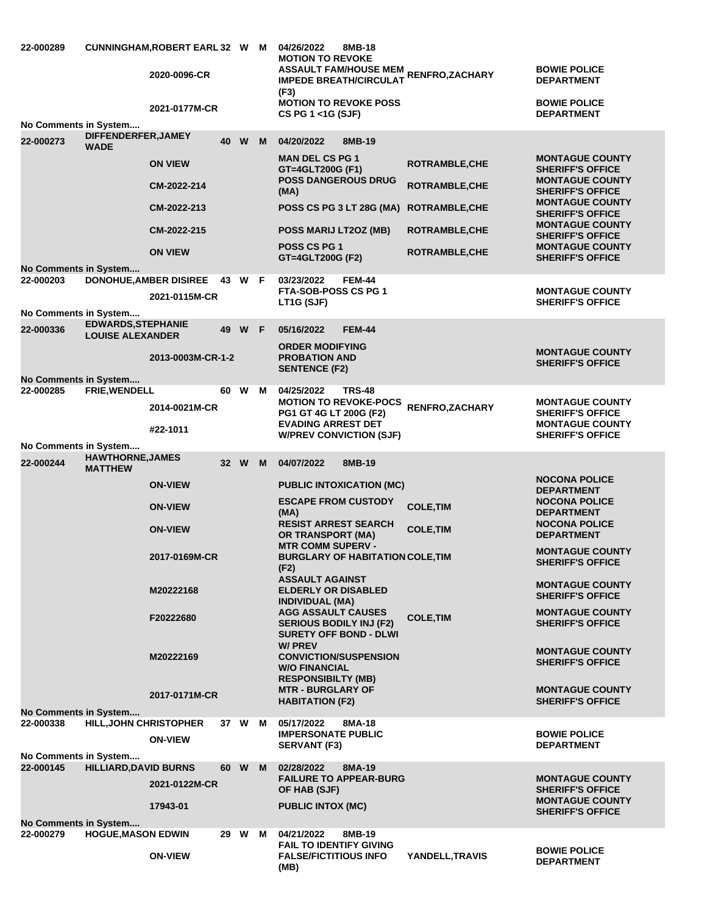| 22-000289                          |                                           | CUNNINGHAM, ROBERT EARL 32 W M<br>2020-0096-CR<br>2021-0177M-CR |        |  | 04/26/2022<br>8MB-18<br><b>MOTION TO REVOKE</b><br>ASSAULT FAM/HOUSE MEM RENFRO,ZACHARY<br><b>IMPEDE BREATH/CIRCULAT</b><br>(F3)<br><b>MOTION TO REVOKE POSS</b><br>CS PG 1 <1G (SJF) |                                                | <b>BOWIE POLICE</b><br><b>DEPARTMENT</b><br><b>BOWIE POLICE</b><br><b>DEPARTMENT</b> |
|------------------------------------|-------------------------------------------|-----------------------------------------------------------------|--------|--|---------------------------------------------------------------------------------------------------------------------------------------------------------------------------------------|------------------------------------------------|--------------------------------------------------------------------------------------|
| No Comments in System              | DIFFENDERFER, JAMEY                       |                                                                 |        |  |                                                                                                                                                                                       |                                                |                                                                                      |
| 22-000273                          | <b>WADE</b>                               |                                                                 | 40 W M |  | 04/20/2022<br>8MB-19                                                                                                                                                                  |                                                |                                                                                      |
|                                    |                                           | <b>ON VIEW</b><br>CM-2022-214                                   |        |  | <b>MAN DEL CS PG 1</b><br>GT=4GLT200G (F1)<br><b>POSS DANGEROUS DRUG</b>                                                                                                              | <b>ROTRAMBLE, CHE</b><br><b>ROTRAMBLE, CHE</b> | <b>MONTAGUE COUNTY</b><br><b>SHERIFF'S OFFICE</b><br><b>MONTAGUE COUNTY</b>          |
|                                    |                                           | CM-2022-213                                                     |        |  | (MA)<br>POSS CS PG 3 LT 28G (MA)                                                                                                                                                      | <b>ROTRAMBLE, CHE</b>                          | <b>SHERIFF'S OFFICE</b><br><b>MONTAGUE COUNTY</b><br><b>SHERIFF'S OFFICE</b>         |
|                                    |                                           | CM-2022-215                                                     |        |  | POSS MARIJ LT2OZ (MB)                                                                                                                                                                 | ROTRAMBLE, CHE                                 | <b>MONTAGUE COUNTY</b><br><b>SHERIFF'S OFFICE</b>                                    |
|                                    |                                           | <b>ON VIEW</b>                                                  |        |  | <b>POSS CS PG 1</b><br>GT=4GLT200G (F2)                                                                                                                                               | <b>ROTRAMBLE, CHE</b>                          | <b>MONTAGUE COUNTY</b><br><b>SHERIFF'S OFFICE</b>                                    |
| No Comments in System              |                                           |                                                                 |        |  |                                                                                                                                                                                       |                                                |                                                                                      |
| 22-000203                          |                                           | <b>DONOHUE, AMBER DISIREE</b><br>2021-0115M-CR                  | 43 W F |  | 03/23/2022<br><b>FEM-44</b><br><b>FTA-SOB-POSS CS PG 1</b>                                                                                                                            |                                                | <b>MONTAGUE COUNTY</b>                                                               |
| No Comments in System              |                                           |                                                                 |        |  | LT1G (SJF)                                                                                                                                                                            |                                                | <b>SHERIFF'S OFFICE</b>                                                              |
|                                    | <b>EDWARDS, STEPHANIE</b>                 |                                                                 |        |  | <b>FEM-44</b>                                                                                                                                                                         |                                                |                                                                                      |
| 22-000336                          | <b>LOUISE ALEXANDER</b>                   |                                                                 | 49 W F |  | 05/16/2022                                                                                                                                                                            |                                                |                                                                                      |
|                                    |                                           | 2013-0003M-CR-1-2                                               |        |  | <b>ORDER MODIFYING</b><br><b>PROBATION AND</b><br><b>SENTENCE (F2)</b>                                                                                                                |                                                | <b>MONTAGUE COUNTY</b><br><b>SHERIFF'S OFFICE</b>                                    |
| No Comments in System<br>22-000285 | FRIE, WENDELL                             |                                                                 | 60 W M |  | 04/25/2022<br><b>TRS-48</b>                                                                                                                                                           |                                                |                                                                                      |
|                                    |                                           | 2014-0021M-CR                                                   |        |  | <b>MOTION TO REVOKE-POCS</b><br>PG1 GT 4G LT 200G (F2)                                                                                                                                | RENFRO, ZACHARY                                | <b>MONTAGUE COUNTY</b><br><b>SHERIFF'S OFFICE</b>                                    |
|                                    |                                           | #22-1011                                                        |        |  | <b>EVADING ARREST DET</b><br><b>W/PREV CONVICTION (SJF)</b>                                                                                                                           |                                                | <b>MONTAGUE COUNTY</b><br><b>SHERIFF'S OFFICE</b>                                    |
| No Comments in System              |                                           |                                                                 |        |  |                                                                                                                                                                                       |                                                |                                                                                      |
| 22-000244                          | <b>HAWTHORNE, JAMES</b><br><b>MATTHEW</b> |                                                                 | 32 W M |  | 04/07/2022<br>8MB-19                                                                                                                                                                  |                                                |                                                                                      |
|                                    |                                           | <b>ON-VIEW</b>                                                  |        |  | <b>PUBLIC INTOXICATION (MC)</b>                                                                                                                                                       |                                                | <b>NOCONA POLICE</b><br><b>DEPARTMENT</b>                                            |
|                                    |                                           | <b>ON-VIEW</b>                                                  |        |  | <b>ESCAPE FROM CUSTODY</b><br>(MA)                                                                                                                                                    | <b>COLE, TIM</b>                               | <b>NOCONA POLICE</b><br><b>DEPARTMENT</b>                                            |
|                                    |                                           | <b>ON-VIEW</b>                                                  |        |  | <b>RESIST ARREST SEARCH</b><br>OR TRANSPORT (MA)                                                                                                                                      | <b>COLE, TIM</b>                               | <b>NOCONA POLICE</b><br><b>DEPARTMENT</b>                                            |
|                                    |                                           | 2017-0169M-CR                                                   |        |  | <b>MTR COMM SUPERV -</b><br><b>BURGLARY OF HABITATION COLE, TIM</b><br>(F2)                                                                                                           |                                                | <b>MONTAGUE COUNTY</b><br><b>SHERIFF'S OFFICE</b>                                    |
|                                    |                                           | M20222168                                                       |        |  | <b>ASSAULT AGAINST</b><br><b>ELDERLY OR DISABLED</b>                                                                                                                                  |                                                | <b>MONTAGUE COUNTY</b><br><b>SHERIFF'S OFFICE</b>                                    |
|                                    |                                           |                                                                 |        |  | <b>INDIVIDUAL (MA)</b><br><b>AGG ASSAULT CAUSES</b>                                                                                                                                   |                                                | <b>MONTAGUE COUNTY</b>                                                               |
|                                    |                                           | F20222680                                                       |        |  | <b>SERIOUS BODILY INJ (F2)</b><br><b>SURETY OFF BOND - DLWI</b>                                                                                                                       | <b>COLE, TIM</b>                               | <b>SHERIFF'S OFFICE</b>                                                              |
|                                    |                                           | M20222169                                                       |        |  | W/ PREV<br><b>CONVICTION/SUSPENSION</b><br><b>W/O FINANCIAL</b><br><b>RESPONSIBILTY (MB)</b>                                                                                          |                                                | <b>MONTAGUE COUNTY</b><br><b>SHERIFF'S OFFICE</b>                                    |
|                                    |                                           | 2017-0171M-CR                                                   |        |  | <b>MTR - BURGLARY OF</b><br><b>HABITATION (F2)</b>                                                                                                                                    |                                                | <b>MONTAGUE COUNTY</b><br><b>SHERIFF'S OFFICE</b>                                    |
| No Comments in System              |                                           |                                                                 |        |  |                                                                                                                                                                                       |                                                |                                                                                      |
| 22-000338                          | <b>HILL, JOHN CHRISTOPHER</b>             | <b>ON-VIEW</b>                                                  | 37 W M |  | 05/17/2022<br>8MA-18<br><b>IMPERSONATE PUBLIC</b><br><b>SERVANT (F3)</b>                                                                                                              |                                                | <b>BOWIE POLICE</b><br><b>DEPARTMENT</b>                                             |
| No Comments in System<br>22-000145 | <b>HILLIARD, DAVID BURNS</b>              |                                                                 | 60 W M |  | 02/28/2022<br>8MA-19                                                                                                                                                                  |                                                |                                                                                      |
|                                    |                                           | 2021-0122M-CR                                                   |        |  | <b>FAILURE TO APPEAR-BURG</b><br>OF HAB (SJF)                                                                                                                                         |                                                | <b>MONTAGUE COUNTY</b><br><b>SHERIFF'S OFFICE</b>                                    |
|                                    |                                           | 17943-01                                                        |        |  | <b>PUBLIC INTOX (MC)</b>                                                                                                                                                              |                                                | <b>MONTAGUE COUNTY</b><br><b>SHERIFF'S OFFICE</b>                                    |
| No Comments in System              |                                           |                                                                 |        |  |                                                                                                                                                                                       |                                                |                                                                                      |
| 22-000279                          | <b>HOGUE, MASON EDWIN</b>                 |                                                                 | 29 W M |  | 04/21/2022<br>8MB-19                                                                                                                                                                  |                                                |                                                                                      |
|                                    |                                           | <b>ON-VIEW</b>                                                  |        |  | <b>FAIL TO IDENTIFY GIVING</b><br><b>FALSE/FICTITIOUS INFO</b><br>(MB)                                                                                                                | YANDELL, TRAVIS                                | <b>BOWIE POLICE</b><br><b>DEPARTMENT</b>                                             |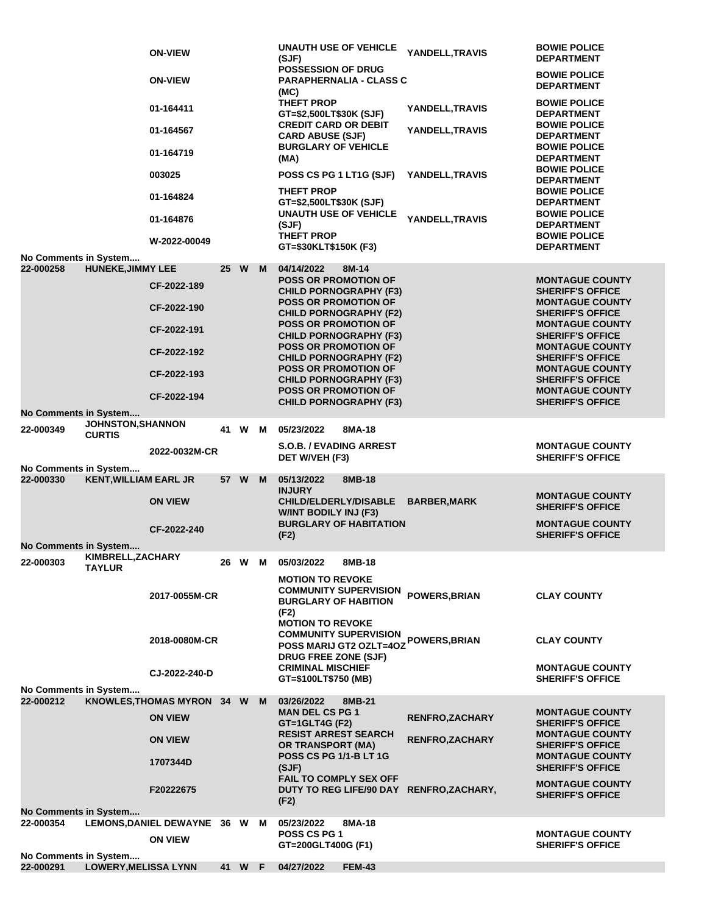|                                    |                                                      | <b>ON-VIEW</b>                |                 |   |   | <b>UNAUTH USE OF VEHICLE</b><br>(SJF)                                                       | YANDELL, TRAVIS        | <b>BOWIE POLICE</b><br><b>DEPARTMENT</b>                                    |
|------------------------------------|------------------------------------------------------|-------------------------------|-----------------|---|---|---------------------------------------------------------------------------------------------|------------------------|-----------------------------------------------------------------------------|
|                                    |                                                      | <b>ON-VIEW</b>                |                 |   |   | POSSESSION OF DRUG<br><b>PARAPHERNALIA - CLASS C</b><br>(MC)                                |                        | <b>BOWIE POLICE</b><br><b>DEPARTMENT</b>                                    |
|                                    |                                                      | 01-164411                     |                 |   |   | THEFT PROP<br>GT=\$2,500LT\$30K (SJF)                                                       | YANDELL, TRAVIS        | <b>BOWIE POLICE</b><br><b>DEPARTMENT</b>                                    |
|                                    |                                                      | 01-164567                     |                 |   |   | <b>CREDIT CARD OR DEBIT</b><br><b>CARD ABUSE (SJF)</b><br><b>BURGLARY OF VEHICLE</b>        | YANDELL,TRAVIS         | <b>BOWIE POLICE</b><br><b>DEPARTMENT</b><br><b>BOWIE POLICE</b>             |
|                                    |                                                      | 01-164719                     |                 |   |   | (MA)                                                                                        |                        | <b>DEPARTMENT</b>                                                           |
|                                    |                                                      | 003025                        |                 |   |   | POSS CS PG 1 LT1G (SJF)                                                                     | YANDELL, TRAVIS        | <b>BOWIE POLICE</b><br><b>DEPARTMENT</b>                                    |
|                                    |                                                      | 01-164824                     |                 |   |   | <b>THEFT PROP</b><br>GT=\$2,500LT\$30K (SJF)                                                |                        | <b>BOWIE POLICE</b><br><b>DEPARTMENT</b>                                    |
|                                    |                                                      | 01-164876                     |                 |   |   | <b>UNAUTH USE OF VEHICLE</b><br>(SJF)<br><b>THEFT PROP</b>                                  | YANDELL, TRAVIS        | <b>BOWIE POLICE</b><br><b>DEPARTMENT</b><br><b>BOWIE POLICE</b>             |
|                                    |                                                      | W-2022-00049                  |                 |   |   | GT=\$30KLT\$150K (F3)                                                                       |                        | <b>DEPARTMENT</b>                                                           |
| No Comments in System<br>22-000258 | <b>HUNEKE, JIMMY LEE</b>                             |                               | 25 <sub>2</sub> | W | M | 04/14/2022<br>8M-14                                                                         |                        |                                                                             |
|                                    |                                                      | CF-2022-189                   |                 |   |   | <b>POSS OR PROMOTION OF</b><br><b>CHILD PORNOGRAPHY (F3)</b>                                |                        | <b>MONTAGUE COUNTY</b><br><b>SHERIFF'S OFFICE</b>                           |
|                                    |                                                      | CF-2022-190                   |                 |   |   | <b>POSS OR PROMOTION OF</b><br><b>CHILD PORNOGRAPHY (F2)</b>                                |                        | <b>MONTAGUE COUNTY</b><br><b>SHERIFF'S OFFICE</b>                           |
|                                    |                                                      | CF-2022-191                   |                 |   |   | <b>POSS OR PROMOTION OF</b><br><b>CHILD PORNOGRAPHY (F3)</b>                                |                        | <b>MONTAGUE COUNTY</b><br><b>SHERIFF'S OFFICE</b>                           |
|                                    |                                                      | CF-2022-192                   |                 |   |   | <b>POSS OR PROMOTION OF</b><br><b>CHILD PORNOGRAPHY (F2)</b><br><b>POSS OR PROMOTION OF</b> |                        | <b>MONTAGUE COUNTY</b><br><b>SHERIFF'S OFFICE</b><br><b>MONTAGUE COUNTY</b> |
|                                    |                                                      | CF-2022-193                   |                 |   |   | <b>CHILD PORNOGRAPHY (F3)</b>                                                               |                        | <b>SHERIFF'S OFFICE</b>                                                     |
|                                    |                                                      | CF-2022-194                   |                 |   |   | <b>POSS OR PROMOTION OF</b><br><b>CHILD PORNOGRAPHY (F3)</b>                                |                        | <b>MONTAGUE COUNTY</b><br><b>SHERIFF'S OFFICE</b>                           |
| <b>No Comments in System</b>       |                                                      |                               |                 |   |   |                                                                                             |                        |                                                                             |
| 22-000349                          | <b>JOHNSTON, SHANNON</b><br><b>CURTIS</b>            |                               | 41 W            |   | м | 05/23/2022<br>8MA-18                                                                        |                        |                                                                             |
|                                    |                                                      | 2022-0032M-CR                 |                 |   |   | <b>S.O.B. / EVADING ARREST</b>                                                              |                        | <b>MONTAGUE COUNTY</b>                                                      |
| No Comments in System              |                                                      |                               |                 |   |   | DET W/VEH (F3)                                                                              |                        | <b>SHERIFF'S OFFICE</b>                                                     |
| 22-000330                          | <b>KENT, WILLIAM EARL JR</b>                         |                               | 57 W            |   | M | 05/13/2022<br>8MB-18<br><b>INJURY</b>                                                       |                        |                                                                             |
|                                    |                                                      | <b>ON VIEW</b>                |                 |   |   | <b>CHILD/ELDERLY/DISABLE</b>                                                                | <b>BARBER, MARK</b>    | <b>MONTAGUE COUNTY</b><br><b>SHERIFF'S OFFICE</b>                           |
|                                    |                                                      |                               |                 |   |   | W/INT BODILY INJ (F3)<br><b>BURGLARY OF HABITATION</b>                                      |                        | <b>MONTAGUE COUNTY</b>                                                      |
|                                    |                                                      | CF-2022-240                   |                 |   |   | (F2)                                                                                        |                        | <b>SHERIFF'S OFFICE</b>                                                     |
| No Comments in System              |                                                      |                               |                 |   |   |                                                                                             |                        |                                                                             |
| 22-000303                          | KIMBRELL, ZACHARY<br><b>TAYLUR</b>                   |                               |                 |   |   | 26 W M 05/03/2022<br>8MB-18                                                                 |                        |                                                                             |
|                                    |                                                      | 2017-0055M-CR                 |                 |   |   | <b>MOTION TO REVOKE</b><br><b>COMMUNITY SUPERVISION</b><br><b>BURGLARY OF HABITION</b>      | <b>POWERS, BRIAN</b>   | <b>CLAY COUNTY</b>                                                          |
|                                    |                                                      |                               |                 |   |   | (F2)<br><b>MOTION TO REVOKE</b>                                                             |                        |                                                                             |
|                                    |                                                      | 2018-0080M-CR                 |                 |   |   | <b>COMMUNITY SUPERVISION</b><br>POSS MARIJ GT2 OZLT=4OZ                                     | <b>POWERS, BRIAN</b>   | <b>CLAY COUNTY</b>                                                          |
|                                    |                                                      |                               |                 |   |   | <b>DRUG FREE ZONE (SJF)</b><br><b>CRIMINAL MISCHIEF</b>                                     |                        | <b>MONTAGUE COUNTY</b>                                                      |
|                                    |                                                      | CJ-2022-240-D                 |                 |   |   | GT=\$100LT\$750 (MB)                                                                        |                        | <b>SHERIFF'S OFFICE</b>                                                     |
| No Comments in System<br>22-000212 |                                                      | KNOWLES, THOMAS MYRON 34 W    |                 |   | M | 03/26/2022<br>8MB-21                                                                        |                        |                                                                             |
|                                    |                                                      | <b>ON VIEW</b>                |                 |   |   | <b>MAN DEL CS PG 1</b>                                                                      | <b>RENFRO, ZACHARY</b> | <b>MONTAGUE COUNTY</b>                                                      |
|                                    |                                                      |                               |                 |   |   | GT=1GLT4G (F2)<br><b>RESIST ARREST SEARCH</b>                                               |                        | <b>SHERIFF'S OFFICE</b><br><b>MONTAGUE COUNTY</b>                           |
|                                    |                                                      | <b>ON VIEW</b>                |                 |   |   | OR TRANSPORT (MA)                                                                           | <b>RENFRO, ZACHARY</b> | <b>SHERIFF'S OFFICE</b>                                                     |
|                                    |                                                      | 1707344D                      |                 |   |   | <b>POSS CS PG 1/1-B LT 1G</b><br>(SJF)                                                      |                        | <b>MONTAGUE COUNTY</b><br><b>SHERIFF'S OFFICE</b>                           |
|                                    |                                                      |                               |                 |   |   | FAIL TO COMPLY SEX OFF                                                                      |                        | <b>MONTAGUE COUNTY</b>                                                      |
|                                    |                                                      | F20222675                     |                 |   |   | DUTY TO REG LIFE/90 DAY RENFRO, ZACHARY,<br>(F2)                                            |                        | <b>SHERIFF'S OFFICE</b>                                                     |
| <b>No Comments in System</b>       |                                                      |                               |                 |   |   |                                                                                             |                        |                                                                             |
| 22-000354                          |                                                      | LEMONS, DANIEL DEWAYNE 36 W M |                 |   |   | 05/23/2022<br>8MA-18<br>POSS CS PG 1                                                        |                        | <b>MONTAGUE COUNTY</b>                                                      |
|                                    |                                                      | <b>ON VIEW</b>                |                 |   |   | GT=200GLT400G (F1)                                                                          |                        | <b>SHERIFF'S OFFICE</b>                                                     |
|                                    |                                                      |                               |                 |   |   |                                                                                             |                        |                                                                             |
| 22-000291                          | No Comments in System<br><b>LOWERY, MELISSA LYNN</b> |                               | 41 W F          |   |   | 04/27/2022<br><b>FEM-43</b>                                                                 |                        |                                                                             |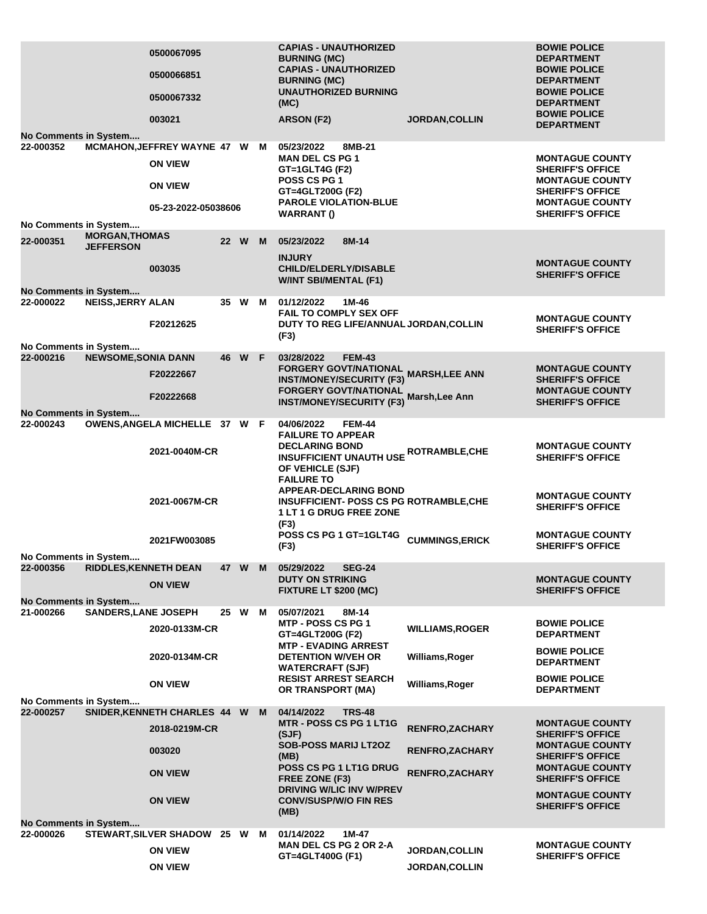|                                           |                              | 0500067095<br>0500066851<br>0500067332<br>003021 |        |        | <b>CAPIAS - UNAUTHORIZED</b><br><b>BURNING (MC)</b><br><b>CAPIAS - UNAUTHORIZED</b><br><b>BURNING (MC)</b><br><b>UNAUTHORIZED BURNING</b><br>(MC)<br>ARSON (F2) |               | <b>JORDAN, COLLIN</b>                                        | <b>BOWIE POLICE</b><br><b>DEPARTMENT</b><br><b>BOWIE POLICE</b><br><b>DEPARTMENT</b><br><b>BOWIE POLICE</b><br><b>DEPARTMENT</b><br><b>BOWIE POLICE</b><br><b>DEPARTMENT</b> |
|-------------------------------------------|------------------------------|--------------------------------------------------|--------|--------|-----------------------------------------------------------------------------------------------------------------------------------------------------------------|---------------|--------------------------------------------------------------|------------------------------------------------------------------------------------------------------------------------------------------------------------------------------|
| No Comments in System                     |                              |                                                  |        |        |                                                                                                                                                                 |               |                                                              |                                                                                                                                                                              |
| 22-000352                                 |                              | MCMAHON, JEFFREY WAYNE 47 W M                    |        |        | 05/23/2022                                                                                                                                                      | 8MB-21        |                                                              |                                                                                                                                                                              |
|                                           |                              | <b>ON VIEW</b><br><b>ON VIEW</b>                 |        |        | <b>MAN DEL CS PG 1</b><br>GT=1GLT4G (F2)<br><b>POSS CS PG 1</b>                                                                                                 |               |                                                              | <b>MONTAGUE COUNTY</b><br><b>SHERIFF'S OFFICE</b><br><b>MONTAGUE COUNTY</b>                                                                                                  |
|                                           |                              |                                                  |        |        | GT=4GLT200G (F2)                                                                                                                                                |               |                                                              | <b>SHERIFF'S OFFICE</b>                                                                                                                                                      |
|                                           |                              | 05-23-2022-05038606                              |        |        | <b>PAROLE VIOLATION-BLUE</b><br><b>WARRANT()</b>                                                                                                                |               |                                                              | <b>MONTAGUE COUNTY</b><br><b>SHERIFF'S OFFICE</b>                                                                                                                            |
| No Comments in System                     |                              |                                                  |        |        |                                                                                                                                                                 |               |                                                              |                                                                                                                                                                              |
|                                           | <b>MORGAN, THOMAS</b>        |                                                  |        |        |                                                                                                                                                                 |               |                                                              |                                                                                                                                                                              |
| 22-000351                                 | <b>JEFFERSON</b>             |                                                  | 22 W M |        | 05/23/2022<br><b>INJURY</b>                                                                                                                                     | 8M-14         |                                                              |                                                                                                                                                                              |
|                                           |                              | 003035                                           |        |        | <b>CHILD/ELDERLY/DISABLE</b><br>W/INT SBI/MENTAL (F1)                                                                                                           |               |                                                              | <b>MONTAGUE COUNTY</b><br><b>SHERIFF'S OFFICE</b>                                                                                                                            |
| No Comments in System<br>22-000022        | <b>NEISS, JERRY ALAN</b>     |                                                  |        | 35 W M | 01/12/2022                                                                                                                                                      | 1M-46         |                                                              |                                                                                                                                                                              |
|                                           |                              | F20212625                                        |        |        | <b>FAIL TO COMPLY SEX OFF</b>                                                                                                                                   |               | DUTY TO REG LIFE/ANNUAL JORDAN, COLLIN                       | <b>MONTAGUE COUNTY</b>                                                                                                                                                       |
|                                           |                              |                                                  |        |        | (F3)                                                                                                                                                            |               |                                                              | <b>SHERIFF'S OFFICE</b>                                                                                                                                                      |
| No Comments in System                     |                              |                                                  |        |        |                                                                                                                                                                 |               |                                                              |                                                                                                                                                                              |
| 22-000216                                 | <b>NEWSOME, SONIA DANN</b>   |                                                  | 46 W F |        | 03/28/2022                                                                                                                                                      | <b>FEM-43</b> | FORGERY GOVT/NATIONAL<br>FORGERY GOVT/NATIONAL MARSH,LEE ANN | <b>MONTAGUE COUNTY</b>                                                                                                                                                       |
|                                           |                              | F20222667                                        |        |        | <b>INST/MONEY/SECURITY (F3)</b>                                                                                                                                 |               |                                                              | <b>SHERIFF'S OFFICE</b>                                                                                                                                                      |
|                                           |                              | F20222668                                        |        |        | <b>FORGERY GOVT/NATIONAL</b>                                                                                                                                    |               | Marsh, Lee Ann                                               | <b>MONTAGUE COUNTY</b>                                                                                                                                                       |
|                                           |                              |                                                  |        |        | <b>INST/MONEY/SECURITY (F3)</b>                                                                                                                                 |               |                                                              | <b>SHERIFF'S OFFICE</b>                                                                                                                                                      |
| <b>No Comments in System</b><br>22-000243 |                              | OWENS, ANGELA MICHELLE 37 W F                    |        |        | 04/06/2022<br><b>FAILURE TO APPEAR</b>                                                                                                                          | <b>FEM-44</b> |                                                              |                                                                                                                                                                              |
|                                           |                              | 2021-0040M-CR                                    |        |        | <b>DECLARING BOND</b><br>OF VEHICLE (SJF)<br><b>FAILURE TO</b>                                                                                                  |               | <b>INSUFFICIENT UNAUTH USE ROTRAMBLE, CHE</b>                | <b>MONTAGUE COUNTY</b><br><b>SHERIFF'S OFFICE</b>                                                                                                                            |
|                                           |                              | 2021-0067M-CR                                    |        |        | <b>APPEAR-DECLARING BOND</b><br>1 LT 1 G DRUG FREE ZONE<br>(F3)                                                                                                 |               | <b>INSUFFICIENT- POSS CS PG ROTRAMBLE, CHE</b>               | <b>MONTAGUE COUNTY</b><br><b>SHERIFF'S OFFICE</b>                                                                                                                            |
|                                           |                              | 2021FW003085                                     |        |        | POSS CS PG 1 GT=1GLT4G<br>(F3)                                                                                                                                  |               | <b>CUMMINGS, ERICK</b>                                       | <b>MONTAGUE COUNTY</b><br><b>SHERIFF'S OFFICE</b>                                                                                                                            |
| No Comments in System                     |                              |                                                  |        |        |                                                                                                                                                                 |               |                                                              |                                                                                                                                                                              |
| 22-000356                                 | <b>RIDDLES, KENNETH DEAN</b> |                                                  |        | 47 W M | 05/29/2022                                                                                                                                                      | <b>SEG-24</b> |                                                              |                                                                                                                                                                              |
|                                           |                              | <b>ON VIEW</b>                                   |        |        | <b>DUTY ON STRIKING</b><br>FIXTURE LT \$200 (MC)                                                                                                                |               |                                                              | <b>MONTAGUE COUNTY</b><br><b>SHERIFF'S OFFICE</b>                                                                                                                            |
| <b>No Comments in System</b><br>21-000266 | <b>SANDERS, LANE JOSEPH</b>  |                                                  | 25 W   | M      | 05/07/2021                                                                                                                                                      | 8M-14         |                                                              |                                                                                                                                                                              |
|                                           |                              | 2020-0133M-CR                                    |        |        | <b>MTP - POSS CS PG 1</b><br>GT=4GLT200G (F2)                                                                                                                   |               | <b>WILLIAMS, ROGER</b>                                       | <b>BOWIE POLICE</b><br><b>DEPARTMENT</b>                                                                                                                                     |
|                                           |                              |                                                  |        |        | <b>MTP - EVADING ARREST</b><br><b>DETENTION W/VEH OR</b>                                                                                                        |               |                                                              | <b>BOWIE POLICE</b>                                                                                                                                                          |
|                                           |                              | 2020-0134M-CR                                    |        |        | <b>WATERCRAFT (SJF)</b>                                                                                                                                         |               | Williams, Roger                                              | <b>DEPARTMENT</b>                                                                                                                                                            |
|                                           |                              | <b>ON VIEW</b>                                   |        |        | <b>RESIST ARREST SEARCH</b><br>OR TRANSPORT (MA)                                                                                                                |               | Williams, Roger                                              | <b>BOWIE POLICE</b><br><b>DEPARTMENT</b>                                                                                                                                     |
| No Comments in System<br>22-000257        |                              | SNIDER, KENNETH CHARLES 44 W M                   |        |        | 04/14/2022                                                                                                                                                      | <b>TRS-48</b> |                                                              |                                                                                                                                                                              |
|                                           |                              |                                                  |        |        | MTR - POSS CS PG 1 LT1G                                                                                                                                         |               |                                                              | <b>MONTAGUE COUNTY</b>                                                                                                                                                       |
|                                           |                              | 2018-0219M-CR                                    |        |        | (SJF)                                                                                                                                                           |               | RENFRO, ZACHARY                                              | <b>SHERIFF'S OFFICE</b>                                                                                                                                                      |
|                                           |                              | 003020                                           |        |        | <b>SOB-POSS MARIJ LT2OZ</b><br>(MB)                                                                                                                             |               | <b>RENFRO, ZACHARY</b>                                       | <b>MONTAGUE COUNTY</b><br><b>SHERIFF'S OFFICE</b>                                                                                                                            |
|                                           |                              | <b>ON VIEW</b>                                   |        |        | <b>POSS CS PG 1 LT1G DRUG</b><br>FREE ZONE (F3)                                                                                                                 |               | <b>RENFRO, ZACHARY</b>                                       | <b>MONTAGUE COUNTY</b><br><b>SHERIFF'S OFFICE</b>                                                                                                                            |
|                                           |                              | <b>ON VIEW</b>                                   |        |        | DRIVING W/LIC INV W/PREV<br><b>CONV/SUSP/W/O FIN RES</b>                                                                                                        |               |                                                              | <b>MONTAGUE COUNTY</b>                                                                                                                                                       |
|                                           |                              |                                                  |        |        | (MB)                                                                                                                                                            |               |                                                              | <b>SHERIFF'S OFFICE</b>                                                                                                                                                      |
| <b>No Comments in System</b>              |                              |                                                  |        |        |                                                                                                                                                                 |               |                                                              |                                                                                                                                                                              |
| 22-000026                                 |                              | STEWART, SILVER SHADOW 25 W                      |        | M      | 01/14/2022<br><b>MAN DEL CS PG 2 OR 2-A</b>                                                                                                                     | 1M-47         |                                                              | <b>MONTAGUE COUNTY</b>                                                                                                                                                       |
|                                           |                              | <b>ON VIEW</b>                                   |        |        | GT=4GLT400G (F1)                                                                                                                                                |               | <b>JORDAN, COLLIN</b>                                        | <b>SHERIFF'S OFFICE</b>                                                                                                                                                      |
|                                           |                              | <b>ON VIEW</b>                                   |        |        |                                                                                                                                                                 |               | <b>JORDAN,COLLIN</b>                                         |                                                                                                                                                                              |
|                                           |                              |                                                  |        |        |                                                                                                                                                                 |               |                                                              |                                                                                                                                                                              |